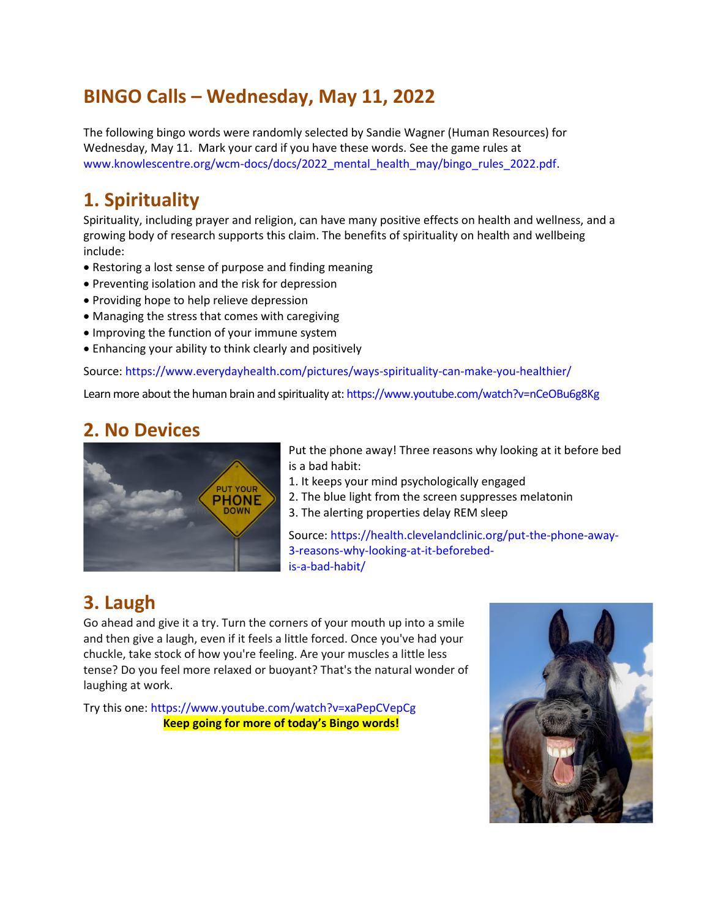## **BINGO Calls – Wednesday, May 11, 2022**

The following bingo words were randomly selected by Sandie Wagner (Human Resources) for Wednesday, May 11. Mark your card if you have these words. See the game rules at www.knowlescentre.org/wcm-docs/docs/2022\_mental\_health\_may/bingo\_rules\_2022.pdf.

#### **1. Spirituality**

Spirituality, including prayer and religion, can have many positive effects on health and wellness, and a growing body of research supports this claim. The benefits of spirituality on health and wellbeing include:

- Restoring a lost sense of purpose and finding meaning
- Preventing isolation and the risk for depression
- Providing hope to help relieve depression
- Managing the stress that comes with caregiving
- Improving the function of your immune system
- Enhancing your ability to think clearly and positively

Source: https://www.everydayhealth.com/pictures/ways-spirituality-can-make-you-healthier/

Learn more about the human brain and spirituality at: https://www.youtube.com/watch?v=nCeOBu6g8Kg

#### **2. No Devices**



Put the phone away! Three reasons why looking at it before bed is a bad habit:

1. It keeps your mind psychologically engaged

- 2. The blue light from the screen suppresses melatonin
- 3. The alerting properties delay REM sleep

Source: https://health.clevelandclinic.org/put-the-phone-away-3-reasons-why-looking-at-it-beforebedis-a-bad-habit/

# **3. Laugh**

Go ahead and give it a try. Turn the corners of your mouth up into a smile and then give a laugh, even if it feels a little forced. Once you've had your chuckle, take stock of how you're feeling. Are your muscles a little less tense? Do you feel more relaxed or buoyant? That's the natural wonder of laughing at work.

Try this one: https://www.youtube.com/watch?v=xaPepCVepCg **Keep going for more of today's Bingo words!**